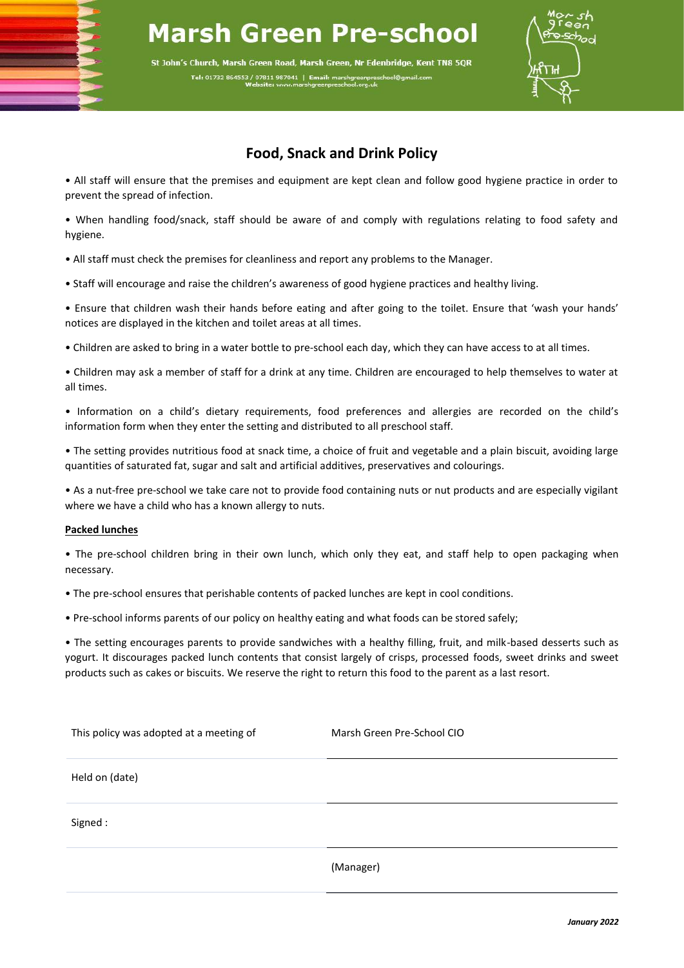## **Marsh Green Pre-school**

St John's Church, Marsh Green Road, Marsh Green, Nr Edenbridge, Kent TN8 5QR Tel: 01732 864553 / 07811 987041 | Email: marshgree



## **Food, Snack and Drink Policy**

• All staff will ensure that the premises and equipment are kept clean and follow good hygiene practice in order to prevent the spread of infection.

• When handling food/snack, staff should be aware of and comply with regulations relating to food safety and hygiene.

• All staff must check the premises for cleanliness and report any problems to the Manager.

• Staff will encourage and raise the children's awareness of good hygiene practices and healthy living.

• Ensure that children wash their hands before eating and after going to the toilet. Ensure that 'wash your hands' notices are displayed in the kitchen and toilet areas at all times.

• Children are asked to bring in a water bottle to pre-school each day, which they can have access to at all times.

• Children may ask a member of staff for a drink at any time. Children are encouraged to help themselves to water at all times.

• Information on a child's dietary requirements, food preferences and allergies are recorded on the child's information form when they enter the setting and distributed to all preschool staff.

• The setting provides nutritious food at snack time, a choice of fruit and vegetable and a plain biscuit, avoiding large quantities of saturated fat, sugar and salt and artificial additives, preservatives and colourings.

• As a nut-free pre-school we take care not to provide food containing nuts or nut products and are especially vigilant where we have a child who has a known allergy to nuts.

## **Packed lunches**

• The pre-school children bring in their own lunch, which only they eat, and staff help to open packaging when necessary.

• The pre-school ensures that perishable contents of packed lunches are kept in cool conditions.

• Pre-school informs parents of our policy on healthy eating and what foods can be stored safely;

• The setting encourages parents to provide sandwiches with a healthy filling, fruit, and milk-based desserts such as yogurt. It discourages packed lunch contents that consist largely of crisps, processed foods, sweet drinks and sweet products such as cakes or biscuits. We reserve the right to return this food to the parent as a last resort.

| This policy was adopted at a meeting of | Marsh Green Pre-School CIO |
|-----------------------------------------|----------------------------|
| Held on (date)                          |                            |
| Signed:                                 |                            |
|                                         | (Manager)                  |